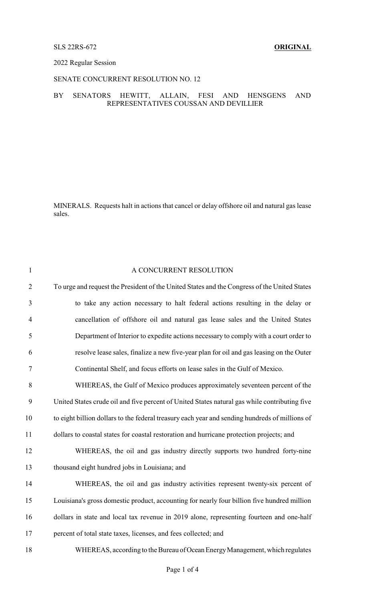### SLS 22RS-672 **ORIGINAL**

#### 2022 Regular Session

### SENATE CONCURRENT RESOLUTION NO. 12

#### BY SENATORS HEWITT, ALLAIN, FESI AND HENSGENS AND REPRESENTATIVES COUSSAN AND DEVILLIER

MINERALS. Requests halt in actions that cancel or delay offshore oil and natural gas lease sales.

| $\mathbf{1}$   | A CONCURRENT RESOLUTION                                                                        |
|----------------|------------------------------------------------------------------------------------------------|
| $\mathfrak{2}$ | To urge and request the President of the United States and the Congress of the United States   |
| 3              | to take any action necessary to halt federal actions resulting in the delay or                 |
| $\overline{4}$ | cancellation of offshore oil and natural gas lease sales and the United States                 |
| 5              | Department of Interior to expedite actions necessary to comply with a court order to           |
| 6              | resolve lease sales, finalize a new five-year plan for oil and gas leasing on the Outer        |
| $\tau$         | Continental Shelf, and focus efforts on lease sales in the Gulf of Mexico.                     |
| 8              | WHEREAS, the Gulf of Mexico produces approximately seventeen percent of the                    |
| 9              | United States crude oil and five percent of United States natural gas while contributing five  |
| 10             | to eight billion dollars to the federal treasury each year and sending hundreds of millions of |
| 11             | dollars to coastal states for coastal restoration and hurricane protection projects; and       |
| 12             | WHEREAS, the oil and gas industry directly supports two hundred forty-nine                     |
| 13             | thousand eight hundred jobs in Louisiana; and                                                  |
| 14             | WHEREAS, the oil and gas industry activities represent twenty-six percent of                   |
| 15             | Louisiana's gross domestic product, accounting for nearly four billion five hundred million    |
| 16             | dollars in state and local tax revenue in 2019 alone, representing fourteen and one-half       |
| 17             | percent of total state taxes, licenses, and fees collected; and                                |
| 18             | WHEREAS, according to the Bureau of Ocean Energy Management, which regulates                   |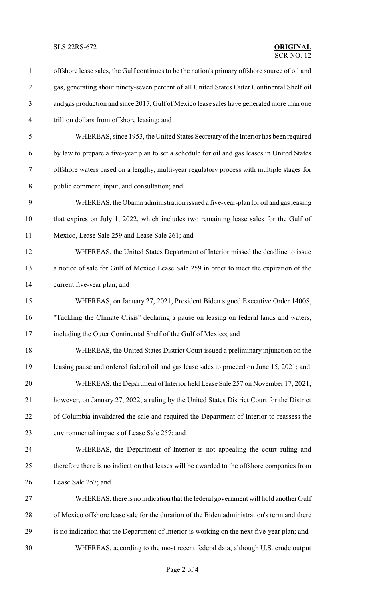SLS 22RS-672 **ORIGINAL**

## $\overline{\text{SCR NO}}$  12

 offshore lease sales, the Gulf continues to be the nation's primary offshore source of oil and gas, generating about ninety-seven percent of all United States Outer Continental Shelf oil and gas production and since 2017, Gulf of Mexico lease sales have generated more than one trillion dollars from offshore leasing; and WHEREAS, since 1953, the United States Secretaryof the Interior has been required by law to prepare a five-year plan to set a schedule for oil and gas leases in United States offshore waters based on a lengthy, multi-year regulatory process with multiple stages for public comment, input, and consultation; and WHEREAS, the Obama administration issued a five-year-plan for oil and gas leasing that expires on July 1, 2022, which includes two remaining lease sales for the Gulf of Mexico, Lease Sale 259 and Lease Sale 261; and WHEREAS, the United States Department of Interior missed the deadline to issue a notice of sale for Gulf of Mexico Lease Sale 259 in order to meet the expiration of the current five-year plan; and WHEREAS, on January 27, 2021, President Biden signed Executive Order 14008, "Tackling the Climate Crisis" declaring a pause on leasing on federal lands and waters, including the Outer Continental Shelf of the Gulf of Mexico; and WHEREAS, the United States District Court issued a preliminary injunction on the leasing pause and ordered federal oil and gas lease sales to proceed on June 15, 2021; and WHEREAS, the Department of Interior held Lease Sale 257 on November 17, 2021; however, on January 27, 2022, a ruling by the United States District Court for the District of Columbia invalidated the sale and required the Department of Interior to reassess the environmental impacts of Lease Sale 257; and WHEREAS, the Department of Interior is not appealing the court ruling and therefore there is no indication that leases will be awarded to the offshore companies from Lease Sale 257; and WHEREAS, there is no indication that the federal government will hold another Gulf of Mexico offshore lease sale for the duration of the Biden administration's term and there is no indication that the Department of Interior is working on the next five-year plan; and WHEREAS, according to the most recent federal data, although U.S. crude output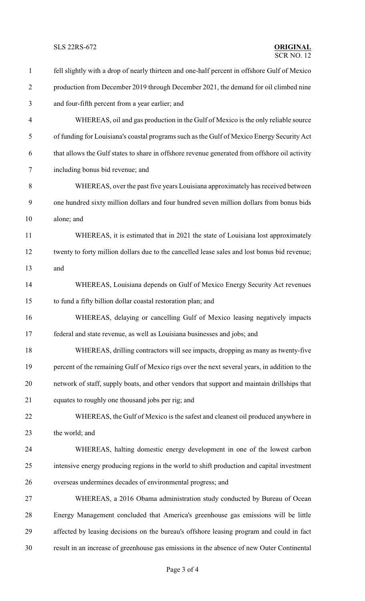SLS 22RS-672 **ORIGINAL**

### $SCR$  NO. 12

 fell slightly with a drop of nearly thirteen and one-half percent in offshore Gulf of Mexico production from December 2019 through December 2021, the demand for oil climbed nine and four-fifth percent from a year earlier; and WHEREAS, oil and gas production in the Gulf of Mexico is the only reliable source of funding for Louisiana's coastal programs such as the Gulf of Mexico Energy Security Act that allows the Gulf states to share in offshore revenue generated from offshore oil activity including bonus bid revenue; and WHEREAS, over the past five years Louisiana approximately has received between one hundred sixty million dollars and four hundred seven million dollars from bonus bids alone; and WHEREAS, it is estimated that in 2021 the state of Louisiana lost approximately twenty to forty million dollars due to the cancelled lease sales and lost bonus bid revenue; and WHEREAS, Louisiana depends on Gulf of Mexico Energy Security Act revenues to fund a fifty billion dollar coastal restoration plan; and WHEREAS, delaying or cancelling Gulf of Mexico leasing negatively impacts federal and state revenue, as well as Louisiana businesses and jobs; and WHEREAS, drilling contractors will see impacts, dropping as many as twenty-five percent of the remaining Gulf of Mexico rigs over the next several years, in addition to the network of staff, supply boats, and other vendors that support and maintain drillships that equates to roughly one thousand jobs per rig; and WHEREAS, the Gulf of Mexico is the safest and cleanest oil produced anywhere in the world; and WHEREAS, halting domestic energy development in one of the lowest carbon intensive energy producing regions in the world to shift production and capital investment overseas undermines decades of environmental progress; and WHEREAS, a 2016 Obama administration study conducted by Bureau of Ocean Energy Management concluded that America's greenhouse gas emissions will be little affected by leasing decisions on the bureau's offshore leasing program and could in fact result in an increase of greenhouse gas emissions in the absence of new Outer Continental